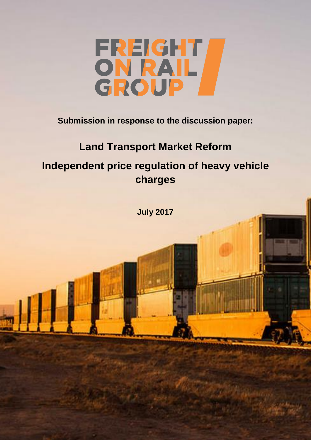

**Submission in response to the discussion paper:**

# **Land Transport Market Reform**

**Independent price regulation of heavy vehicle charges**

**July 2017**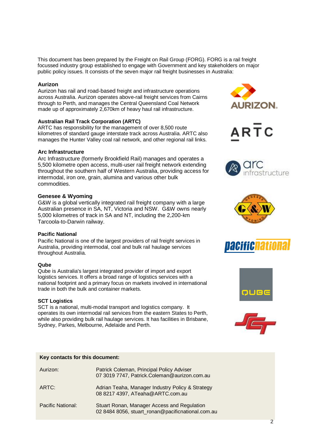This document has been prepared by the Freight on Rail Group (FORG). FORG is a rail freight focussed industry group established to engage with Government and key stakeholders on major public policy issues. It consists of the seven major rail freight businesses in Australia:

## **Aurizon**

Aurizon has rail and road-based freight and infrastructure operations across Australia. Aurizon operates above-rail freight services from Cairns through to Perth, and manages the Central Queensland Coal Network made up of approximately 2,670km of heavy haul rail infrastructure.

## **Australian Rail Track Corporation (ARTC)**

ARTC has responsibility for the management of over 8,500 route kilometres of standard gauge interstate track across Australia. ARTC also manages the Hunter Valley coal rail network, and other regional rail links.

## **Arc Infrastructure**

Arc Infrastructure (formerly Brookfield Rail) manages and operates a 5,500 kilometre open access, multi-user rail freight network extending throughout the southern half of Western Australia, providing access for intermodal, iron ore, grain, alumina and various other bulk commodities.

## **Genesee & Wyoming**

G&W is a global vertically integrated rail freight company with a large Australian presence in SA, NT, Victoria and NSW. G&W owns nearly 5,000 kilometres of track in SA and NT, including the 2,200-km Tarcoola-to-Darwin railway.

#### **Pacific National**

Pacific National is one of the largest providers of rail freight services in Australia, providing intermodal, coal and bulk rail haulage services throughout Australia.

#### **Qube**

Qube is Australia's largest integrated provider of import and export logistics services. It offers a broad range of logistics services with a national footprint and a primary focus on markets involved in international trade in both the bulk and container markets.

## **SCT Logistics**

SCT is a national, multi-modal transport and logistics company. It operates its own intermodal rail services from the eastern States to Perth, while also providing bulk rail haulage services. It has facilities in Brisbane, Sydney, Parkes, Melbourne, Adelaide and Perth.

#### **Key contacts for this document:**

| Aurizon:          | Patrick Coleman, Principal Policy Adviser<br>07 3019 7747, Patrick.Coleman@aurizon.com.au        |
|-------------------|--------------------------------------------------------------------------------------------------|
| ARTC:             | Adrian Teaha, Manager Industry Policy & Strategy<br>08 8217 4397, ATeaha@ARTC.com.au             |
| Pacific National: | Stuart Ronan, Manager Access and Regulation<br>02 8484 8056, stuart_ronan@pacificnational.com.au |













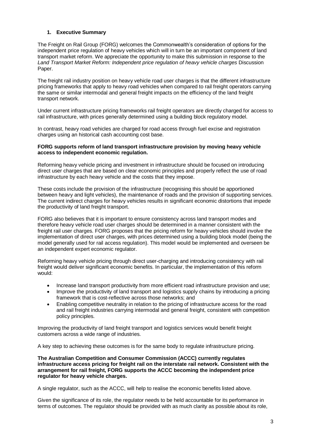# **1. Executive Summary**

The Freight on Rail Group (FORG) welcomes the Commonwealth's consideration of options for the independent price regulation of heavy vehicles which will in turn be an important component of land transport market reform. We appreciate the opportunity to make this submission in response to the *Land Transport Market Reform: Independent price regulation of heavy vehicle charges* Discussion Paper.

The freight rail industry position on heavy vehicle road user charges is that the different infrastructure pricing frameworks that apply to heavy road vehicles when compared to rail freight operators carrying the same or similar intermodal and general freight impacts on the efficiency of the land freight transport network.

Under current infrastructure pricing frameworks rail freight operators are directly charged for access to rail infrastructure, with prices generally determined using a building block regulatory model.

In contrast, heavy road vehicles are charged for road access through fuel excise and registration charges using an historical cash accounting cost base.

#### **FORG supports reform of land transport infrastructure provision by moving heavy vehicle access to independent economic regulation.**

Reforming heavy vehicle pricing and investment in infrastructure should be focused on introducing direct user charges that are based on clear economic principles and properly reflect the use of road infrastructure by each heavy vehicle and the costs that they impose.

These costs include the provision of the infrastructure (recognising this should be apportioned between heavy and light vehicles), the maintenance of roads and the provision of supporting services. The current indirect charges for heavy vehicles results in significant economic distortions that impede the productivity of land freight transport.

FORG also believes that it is important to ensure consistency across land transport modes and therefore heavy vehicle road user charges should be determined in a manner consistent with the freight rail user charges. FORG proposes that the pricing reform for heavy vehicles should involve the implementation of direct user charges, with prices determined using a building block model (being the model generally used for rail access regulation). This model would be implemented and overseen be an independent expert economic regulator.

Reforming heavy vehicle pricing through direct user-charging and introducing consistency with rail freight would deliver significant economic benefits. In particular, the implementation of this reform would:

- Increase land transport productivity from more efficient road infrastructure provision and use;
- Improve the productivity of land transport and logistics supply chains by introducing a pricing framework that is cost-reflective across those networks; and
- Enabling competitive neutrality in relation to the pricing of infrastructure access for the road and rail freight industries carrying intermodal and general freight, consistent with competition policy principles.

Improving the productivity of land freight transport and logistics services would benefit freight customers across a wide range of industries.

A key step to achieving these outcomes is for the same body to regulate infrastructure pricing.

**The Australian Competition and Consumer Commission (ACCC) currently regulates infrastructure access pricing for freight rail on the interstate rail network. Consistent with the arrangement for rail freight, FORG supports the ACCC becoming the independent price regulator for heavy vehicle charges.**

A single regulator, such as the ACCC, will help to realise the economic benefits listed above.

Given the significance of its role, the regulator needs to be held accountable for its performance in terms of outcomes. The regulator should be provided with as much clarity as possible about its role,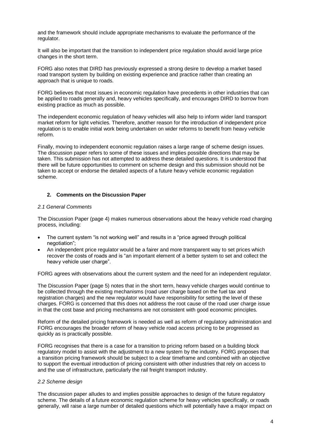and the framework should include appropriate mechanisms to evaluate the performance of the regulator.

It will also be important that the transition to independent price regulation should avoid large price changes in the short term.

FORG also notes that DIRD has previously expressed a strong desire to develop a market based road transport system by building on existing experience and practice rather than creating an approach that is unique to roads.

FORG believes that most issues in economic regulation have precedents in other industries that can be applied to roads generally and, heavy vehicles specifically, and encourages DIRD to borrow from existing practice as much as possible.

The independent economic regulation of heavy vehicles will also help to inform wider land transport market reform for light vehicles. Therefore, another reason for the introduction of independent price regulation is to enable initial work being undertaken on wider reforms to benefit from heavy vehicle reform.

Finally, moving to independent economic regulation raises a large range of scheme design issues. The discussion paper refers to some of these issues and implies possible directions that may be taken. This submission has not attempted to address these detailed questions. It is understood that there will be future opportunities to comment on scheme design and this submission should not be taken to accept or endorse the detailed aspects of a future heavy vehicle economic regulation scheme.

## **2. Comments on the Discussion Paper**

#### *2.1 General Comments*

The Discussion Paper (page 4) makes numerous observations about the heavy vehicle road charging process, including:

- The current system "is not working well" and results in a "price agreed through political negotiation";
- An independent price regulator would be a fairer and more transparent way to set prices which recover the costs of roads and is "an important element of a better system to set and collect the heavy vehicle user charge".

FORG agrees with observations about the current system and the need for an independent regulator.

The Discussion Paper (page 5) notes that in the short term, heavy vehicle charges would continue to be collected through the existing mechanisms (road user charge based on the fuel tax and registration charges) and the new regulator would have responsibility for setting the level of these charges. FORG is concerned that this does not address the root cause of the road user charge issue in that the cost base and pricing mechanisms are not consistent with good economic principles.

Reform of the detailed pricing framework is needed as well as reform of regulatory administration and FORG encourages the broader reform of heavy vehicle road access pricing to be progressed as quickly as is practically possible.

FORG recognises that there is a case for a transition to pricing reform based on a building block regulatory model to assist with the adjustment to a new system by the industry. FORG proposes that a transition pricing framework should be subject to a clear timeframe and combined with an objective to support the eventual introduction of pricing consistent with other industries that rely on access to and the use of infrastructure, particularly the rail freight transport industry.

# *2.2 Scheme design*

The discussion paper alludes to and implies possible approaches to design of the future regulatory scheme. The details of a future economic regulation scheme for heavy vehicles specifically, or roads generally, will raise a large number of detailed questions which will potentially have a major impact on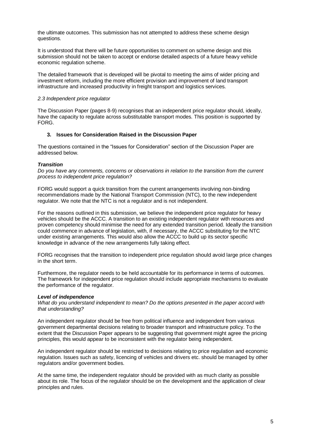the ultimate outcomes. This submission has not attempted to address these scheme design questions.

It is understood that there will be future opportunities to comment on scheme design and this submission should not be taken to accept or endorse detailed aspects of a future heavy vehicle economic regulation scheme.

The detailed framework that is developed will be pivotal to meeting the aims of wider pricing and investment reform, including the more efficient provision and improvement of land transport infrastructure and increased productivity in freight transport and logistics services.

## *2.3 Independent price regulator*

The Discussion Paper (pages 8-9) recognises that an independent price regulator should, ideally, have the capacity to regulate across substitutable transport modes. This position is supported by FORG.

# **3. Issues for Consideration Raised in the Discussion Paper**

The questions contained in the "Issues for Consideration" section of the Discussion Paper are addressed below.

## *Transition*

*Do you have any comments, concerns or observations in relation to the transition from the current process to independent price regulation?*

FORG would support a quick transition from the current arrangements involving non-binding recommendations made by the National Transport Commission (NTC), to the new independent regulator. We note that the NTC is not a regulator and is not independent.

For the reasons outlined in this submission, we believe the independent price regulator for heavy vehicles should be the ACCC. A transition to an existing independent regulator with resources and proven competency should minimise the need for any extended transition period. Ideally the transition could commence in advance of legislation, with, if necessary, the ACCC substituting for the NTC under existing arrangements. This would also allow the ACCC to build up its sector specific knowledge in advance of the new arrangements fully taking effect.

FORG recognises that the transition to independent price regulation should avoid large price changes in the short term.

Furthermore, the regulator needs to be held accountable for its performance in terms of outcomes. The framework for independent price regulation should include appropriate mechanisms to evaluate the performance of the regulator.

#### *Level of independence*

*What do you understand independent to mean? Do the options presented in the paper accord with that understanding?*

An independent regulator should be free from political influence and independent from various government departmental decisions relating to broader transport and infrastructure policy. To the extent that the Discussion Paper appears to be suggesting that government might agree the pricing principles, this would appear to be inconsistent with the regulator being independent.

An independent regulator should be restricted to decisions relating to price regulation and economic regulation. Issues such as safety, licencing of vehicles and drivers etc. should be managed by other regulators and/or government bodies.

At the same time, the independent regulator should be provided with as much clarity as possible about its role. The focus of the regulator should be on the development and the application of clear principles and rules.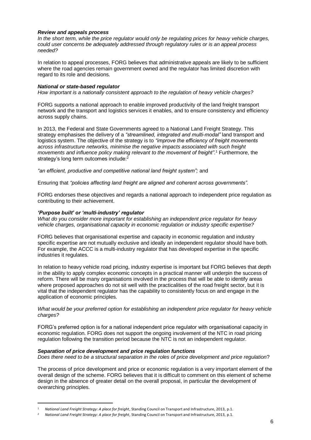## *Review and appeals process*

*In the short term, while the price regulator would only be regulating prices for heavy vehicle charges, could user concerns be adequately addressed through regulatory rules or is an appeal process needed?*

In relation to appeal processes, FORG believes that administrative appeals are likely to be sufficient where the road agencies remain government owned and the regulator has limited discretion with regard to its role and decisions.

## *National or state-based regulator*

*How important is a nationally consistent approach to the regulation of heavy vehicle charges?* 

FORG supports a national approach to enable improved productivity of the land freight transport network and the transport and logistics services it enables, and to ensure consistency and efficiency across supply chains.

In 2013, the Federal and State Governments agreed to a National Land Freight Strategy. This strategy emphasises the delivery of a *"streamlined, integrated and multi-modal"* land transport and logistics system. The objective of the strategy is to *"improve the efficiency of freight movements across infrastructure networks, minimise the negative impacts associated with such freight movements and influence policy making relevant to the movement of freight"*. <sup>1</sup> Furthermore, the strategy's long term outcomes include:

*"an efficient, productive and competitive national land freight system";* and

Ensuring that *"policies affecting land freight are aligned and coherent across governments".*

FORG endorses these objectives and regards a national approach to independent price regulation as contributing to their achievement.

## *'Purpose built' or 'multi-industry' regulator*

*What do you consider more important for establishing an independent price regulator for heavy vehicle charges, organisational capacity in economic regulation or industry specific expertise?* 

FORG believes that organisational expertise and capacity in economic regulation and industry specific expertise are not mutually exclusive and ideally an independent regulator should have both. For example, the ACCC is a multi-industry regulator that has developed expertise in the specific industries it regulates.

In relation to heavy vehicle road pricing, industry expertise is important but FORG believes that depth in the ability to apply complex economic concepts in a practical manner will underpin the success of reform. There will be many organisations involved in the process that will be able to identify areas where proposed approaches do not sit well with the practicalities of the road freight sector, but it is vital that the independent regulator has the capability to consistently focus on and engage in the application of economic principles.

## *What would be your preferred option for establishing an independent price regulator for heavy vehicle charges?*

FORG's preferred option is for a national independent price regulator with organisational capacity in economic regulation. FORG does not support the ongoing involvement of the NTC in road pricing regulation following the transition period because the NTC is not an independent regulator.

#### *Separation of price development and price regulation functions*

-

*Does there need to be a structural separation in the roles of price development and price regulation*?

The process of price development and price or economic regulation is a very important element of the overall design of the scheme. FORG believes that it is difficult to comment on this element of scheme design in the absence of greater detail on the overall proposal, in particular the development of overarching principles.

<sup>1</sup> *National Land Freight Strategy: A place for freight*, Standing Council on Transport and Infrastructure, 2013, p.1.

<sup>2</sup> *National Land Freight Strategy: A place for freight*, Standing Council on Transport and Infrastructure, 2013, p.1.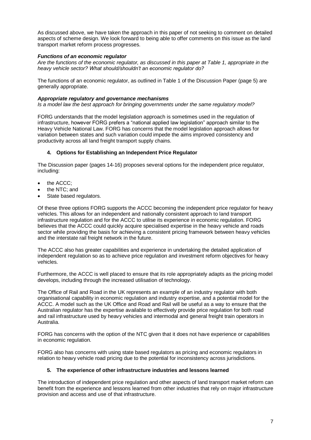As discussed above, we have taken the approach in this paper of not seeking to comment on detailed aspects of scheme design. We look forward to being able to offer comments on this issue as the land transport market reform process progresses.

# *Functions of an economic regulator*

*Are the functions of the economic regulator, as discussed in this paper at Table 1, appropriate in the heavy vehicle sector? What should/shouldn't an economic regulator do?* 

The functions of an economic regulator, as outlined in Table 1 of the Discussion Paper (page 5) are generally appropriate.

## *Appropriate regulatory and governance mechanisms*

*Is a model law the best approach for bringing governments under the same regulatory model?*

FORG understands that the model legislation approach is sometimes used in the regulation of infrastructure, however FORG prefers a "national applied law legislation" approach similar to the Heavy Vehicle National Law. FORG has concerns that the model legislation approach allows for variation between states and such variation could impede the aims improved consistency and productivity across all land freight transport supply chains.

## **4. Options for Establishing an Independent Price Regulator**

The Discussion paper (pages 14-16) proposes several options for the independent price regulator, including:

- the ACCC;
- the NTC; and
- State based regulators.

Of these three options FORG supports the ACCC becoming the independent price regulator for heavy vehicles. This allows for an independent and nationally consistent approach to land transport infrastructure regulation and for the ACCC to utilise its experience in economic regulation. FORG believes that the ACCC could quickly acquire specialised expertise in the heavy vehicle and roads sector while providing the basis for achieving a consistent pricing framework between heavy vehicles and the interstate rail freight network in the future.

The ACCC also has greater capabilities and experience in undertaking the detailed application of independent regulation so as to achieve price regulation and investment reform objectives for heavy vehicles.

Furthermore, the ACCC is well placed to ensure that its role appropriately adapts as the pricing model develops, including through the increased utilisation of technology.

The Office of Rail and Road in the UK represents an example of an industry regulator with both organisational capability in economic regulation and industry expertise, and a potential model for the ACCC. A model such as the UK Office and Road and Rail will be useful as a way to ensure that the Australian regulator has the expertise available to effectively provide price regulation for both road and rail infrastructure used by heavy vehicles and intermodal and general freight train operators in Australia.

FORG has concerns with the option of the NTC given that it does not have experience or capabilities in economic regulation.

FORG also has concerns with using state based regulators as pricing and economic regulators in relation to heavy vehicle road pricing due to the potential for inconsistency across jurisdictions.

## **5. The experience of other infrastructure industries and lessons learned**

The introduction of independent price regulation and other aspects of land transport market reform can benefit from the experience and lessons learned from other industries that rely on major infrastructure provision and access and use of that infrastructure.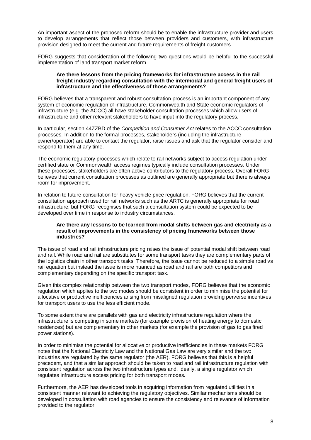An important aspect of the proposed reform should be to enable the infrastructure provider and users to develop arrangements that reflect those between providers and customers, with infrastructure provision designed to meet the current and future requirements of freight customers.

FORG suggests that consideration of the following two questions would be helpful to the successful implementation of land transport market reform.

#### **Are there lessons from the pricing frameworks for infrastructure access in the rail freight industry regarding consultation with the intermodal and general freight users of infrastructure and the effectiveness of those arrangements?**

FORG believes that a transparent and robust consultation process is an important component of any system of economic regulation of infrastructure. Commonwealth and State economic regulators of infrastructure (e.g. the ACCC) all have stakeholder consultation processes which allow users of infrastructure and other relevant stakeholders to have input into the regulatory process.

In particular, section 44ZZBD of the *Competition and Consumer Act* relates to the ACCC consultation processes. In addition to the formal processes, stakeholders (including the infrastructure owner/operator) are able to contact the regulator, raise issues and ask that the regulator consider and respond to them at any time.

The economic regulatory processes which relate to rail networks subject to access regulation under certified state or Commonwealth access regimes typically include consultation processes. Under these processes, stakeholders are often active contributors to the regulatory process. Overall FORG believes that current consultation processes as outlined are generally appropriate but there is always room for improvement.

In relation to future consultation for heavy vehicle price regulation, FORG believes that the current consultation approach used for rail networks such as the ARTC is generally appropriate for road infrastructure, but FORG recognises that such a consultation system could be expected to be developed over time in response to industry circumstances.

#### **Are there any lessons to be learned from modal shifts between gas and electricity as a result of improvements in the consistency of pricing frameworks between those industries?**

The issue of road and rail infrastructure pricing raises the issue of potential modal shift between road and rail. While road and rail are substitutes for some transport tasks they are complementary parts of the logistics chain in other transport tasks. Therefore, the issue cannot be reduced to a simple road vs rail equation but instead the issue is more nuanced as road and rail are both competitors and complementary depending on the specific transport task.

Given this complex relationship between the two transport modes, FORG believes that the economic regulation which applies to the two modes should be consistent in order to minimise the potential for allocative or productive inefficiencies arising from misaligned regulation providing perverse incentives for transport users to use the less efficient mode.

To some extent there are parallels with gas and electricity infrastructure regulation where the infrastructure is competing in some markets (for example provision of heating energy to domestic residences) but are complementary in other markets (for example the provision of gas to gas fired power stations).

In order to minimise the potential for allocative or productive inefficiencies in these markets FORG notes that the National Electricity Law and the National Gas Law are very similar and the two industries are regulated by the same regulator (the AER). FORG believes that this is a helpful precedent, and that a similar approach should be taken to road and rail infrastructure regulation with consistent regulation across the two infrastructure types and, ideally, a single regulator which regulates infrastructure access pricing for both transport modes.

Furthermore, the AER has developed tools in acquiring information from regulated utilities in a consistent manner relevant to achieving the regulatory objectives. Similar mechanisms should be developed in consultation with road agencies to ensure the consistency and relevance of information provided to the regulator.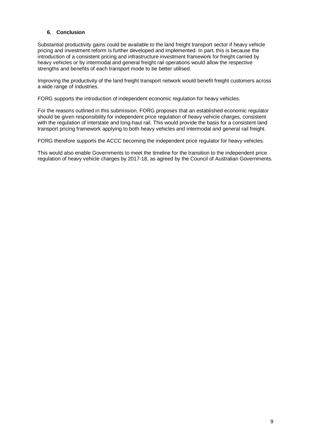# **6. Conclusion**

Substantial productivity gains could be available to the land freight transport sector if heavy vehicle pricing and investment reform is further developed and implemented. In part, this is because the introduction of a consistent pricing and infrastructure investment framework for freight carried by heavy vehicles or by intermodal and general freight rail operations would allow the respective strengths and benefits of each transport mode to be better utilised.

Improving the productivity of the land freight transport network would benefit freight customers across a wide range of industries.

FORG supports the introduction of independent economic regulation for heavy vehicles.

For the reasons outlined in this submission, FORG proposes that an established economic regulator should be given responsibility for independent price regulation of heavy vehicle charges, consistent with the regulation of interstate and long-haul rail. This would provide the basis for a consistent land transport pricing framework applying to both heavy vehicles and intermodal and general rail freight.

FORG therefore supports the ACCC becoming the independent price regulator for heavy vehicles.

This would also enable Governments to meet the timeline for the transition to the independent price regulation of heavy vehicle charges by 2017-18, as agreed by the Council of Australian Governments.